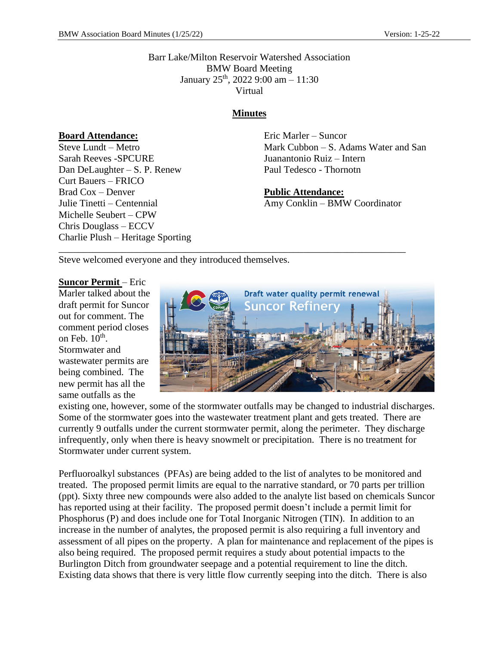Barr Lake/Milton Reservoir Watershed Association BMW Board Meeting January 25<sup>th</sup>, 2022 9:00 am - 11:30 Virtual

#### **Minutes**

\_\_\_\_\_\_\_\_\_\_\_\_\_\_\_\_\_\_\_\_\_\_\_\_\_\_\_\_\_\_\_\_\_\_\_\_\_\_\_\_\_\_\_\_\_\_\_\_\_\_\_\_\_\_\_\_\_\_\_\_\_\_\_\_\_\_\_\_\_\_\_

**Board Attendance:**

Steve Lundt – Metro Sarah Reeves -SPCURE Dan DeLaughter – S. P. Renew Curt Bauers – FRICO Brad Cox – Denver Julie Tinetti – Centennial Michelle Seubert – CPW Chris Douglass – ECCV Charlie Plush – Heritage Sporting Eric Marler – Suncor Mark Cubbon – S. Adams Water and San Juanantonio Ruiz – Intern Paul Tedesco - Thornotn

**Public Attendance:** Amy Conklin – BMW Coordinator

Steve welcomed everyone and they introduced themselves.

**Suncor Permit** – Eric Marler talked about the draft permit for Suncor out for comment. The comment period closes on Feb.  $10^{\text{th}}$ . Stormwater and wastewater permits are being combined. The new permit has all the same outfalls as the



existing one, however, some of the stormwater outfalls may be changed to industrial discharges. Some of the stormwater goes into the wastewater treatment plant and gets treated. There are currently 9 outfalls under the current stormwater permit, along the perimeter. They discharge infrequently, only when there is heavy snowmelt or precipitation. There is no treatment for Stormwater under current system.

Perfluoroalkyl substances (PFAs) are being added to the list of analytes to be monitored and treated. The proposed permit limits are equal to the narrative standard, or 70 parts per trillion (ppt). Sixty three new compounds were also added to the analyte list based on chemicals Suncor has reported using at their facility. The proposed permit doesn't include a permit limit for Phosphorus (P) and does include one for Total Inorganic Nitrogen (TIN). In addition to an increase in the number of analytes, the proposed permit is also requiring a full inventory and assessment of all pipes on the property. A plan for maintenance and replacement of the pipes is also being required. The proposed permit requires a study about potential impacts to the Burlington Ditch from groundwater seepage and a potential requirement to line the ditch. Existing data shows that there is very little flow currently seeping into the ditch. There is also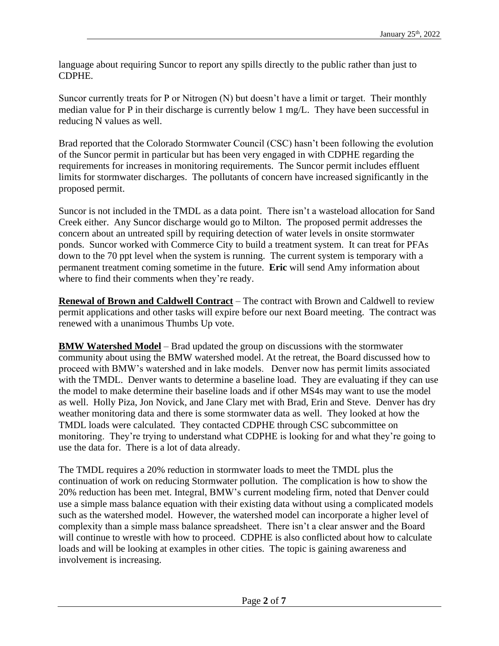language about requiring Suncor to report any spills directly to the public rather than just to CDPHE.

Suncor currently treats for P or Nitrogen (N) but doesn't have a limit or target. Their monthly median value for P in their discharge is currently below 1 mg/L. They have been successful in reducing N values as well.

Brad reported that the Colorado Stormwater Council (CSC) hasn't been following the evolution of the Suncor permit in particular but has been very engaged in with CDPHE regarding the requirements for increases in monitoring requirements. The Suncor permit includes effluent limits for stormwater discharges. The pollutants of concern have increased significantly in the proposed permit.

Suncor is not included in the TMDL as a data point. There isn't a wasteload allocation for Sand Creek either. Any Suncor discharge would go to Milton. The proposed permit addresses the concern about an untreated spill by requiring detection of water levels in onsite stormwater ponds. Suncor worked with Commerce City to build a treatment system. It can treat for PFAs down to the 70 ppt level when the system is running. The current system is temporary with a permanent treatment coming sometime in the future. **Eric** will send Amy information about where to find their comments when they're ready.

**Renewal of Brown and Caldwell Contract** – The contract with Brown and Caldwell to review permit applications and other tasks will expire before our next Board meeting. The contract was renewed with a unanimous Thumbs Up vote.

**BMW Watershed Model** – Brad updated the group on discussions with the stormwater community about using the BMW watershed model. At the retreat, the Board discussed how to proceed with BMW's watershed and in lake models. Denver now has permit limits associated with the TMDL. Denver wants to determine a baseline load. They are evaluating if they can use the model to make determine their baseline loads and if other MS4s may want to use the model as well. Holly Piza, Jon Novick, and Jane Clary met with Brad, Erin and Steve. Denver has dry weather monitoring data and there is some stormwater data as well. They looked at how the TMDL loads were calculated. They contacted CDPHE through CSC subcommittee on monitoring. They're trying to understand what CDPHE is looking for and what they're going to use the data for. There is a lot of data already.

The TMDL requires a 20% reduction in stormwater loads to meet the TMDL plus the continuation of work on reducing Stormwater pollution. The complication is how to show the 20% reduction has been met. Integral, BMW's current modeling firm, noted that Denver could use a simple mass balance equation with their existing data without using a complicated models such as the watershed model. However, the watershed model can incorporate a higher level of complexity than a simple mass balance spreadsheet. There isn't a clear answer and the Board will continue to wrestle with how to proceed. CDPHE is also conflicted about how to calculate loads and will be looking at examples in other cities. The topic is gaining awareness and involvement is increasing.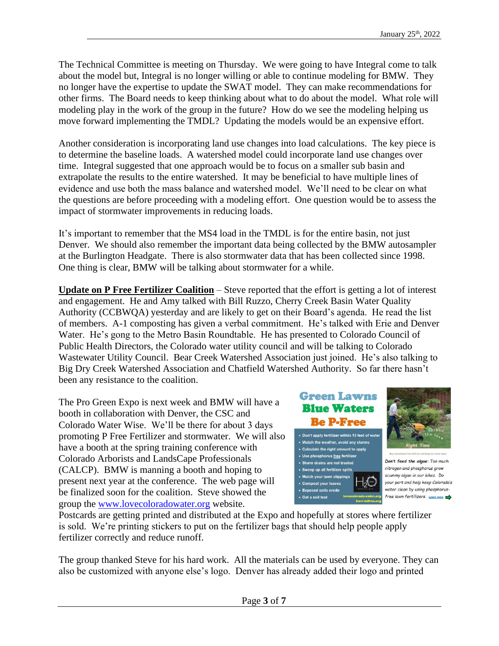The Technical Committee is meeting on Thursday. We were going to have Integral come to talk about the model but, Integral is no longer willing or able to continue modeling for BMW. They no longer have the expertise to update the SWAT model. They can make recommendations for other firms. The Board needs to keep thinking about what to do about the model. What role will modeling play in the work of the group in the future? How do we see the modeling helping us move forward implementing the TMDL? Updating the models would be an expensive effort.

Another consideration is incorporating land use changes into load calculations. The key piece is to determine the baseline loads. A watershed model could incorporate land use changes over time. Integral suggested that one approach would be to focus on a smaller sub basin and extrapolate the results to the entire watershed. It may be beneficial to have multiple lines of evidence and use both the mass balance and watershed model. We'll need to be clear on what the questions are before proceeding with a modeling effort. One question would be to assess the impact of stormwater improvements in reducing loads.

It's important to remember that the MS4 load in the TMDL is for the entire basin, not just Denver. We should also remember the important data being collected by the BMW autosampler at the Burlington Headgate. There is also stormwater data that has been collected since 1998. One thing is clear, BMW will be talking about stormwater for a while.

**Update on P Free Fertilizer Coalition** – Steve reported that the effort is getting a lot of interest and engagement. He and Amy talked with Bill Ruzzo, Cherry Creek Basin Water Quality Authority (CCBWQA) yesterday and are likely to get on their Board's agenda. He read the list of members. A-1 composting has given a verbal commitment. He's talked with Erie and Denver Water. He's gong to the Metro Basin Roundtable. He has presented to Colorado Council of Public Health Directors, the Colorado water utility council and will be talking to Colorado Wastewater Utility Council. Bear Creek Watershed Association just joined. He's also talking to Big Dry Creek Watershed Association and Chatfield Watershed Authority. So far there hasn't been any resistance to the coalition.

The Pro Green Expo is next week and BMW will have a booth in collaboration with Denver, the CSC and Colorado Water Wise. We'll be there for about 3 days promoting P Free Fertilizer and stormwater. We will also have a booth at the spring training conference with Colorado Arborists and LandsCape Professionals (CALCP). BMW is manning a booth and hoping to present next year at the conference. The web page will be finalized soon for the coalition. Steve showed the group the [www.lovecoloradowater.org](http://www.lovecoloradowater.org/) website.







Don't feed the algae: Too much nitrogen and phosphorus grow scummy algae in our lakes. Do your part and help keep Colorado's water clean by using phosphorusfree lawn fertilizers. Learn more

Postcards are getting printed and distributed at the Expo and hopefully at stores where fertilizer is sold. We're printing stickers to put on the fertilizer bags that should help people apply fertilizer correctly and reduce runoff.

The group thanked Steve for his hard work. All the materials can be used by everyone. They can also be customized with anyone else's logo. Denver has already added their logo and printed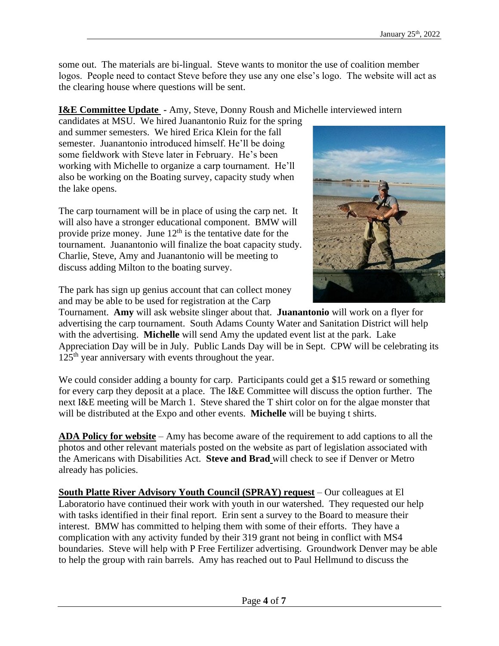some out. The materials are bi-lingual. Steve wants to monitor the use of coalition member logos. People need to contact Steve before they use any one else's logo. The website will act as the clearing house where questions will be sent.

# **I&E Committee Update -** Amy, Steve, Donny Roush and Michelle interviewed intern

candidates at MSU. We hired Juanantonio Ruiz for the spring and summer semesters. We hired Erica Klein for the fall semester. Juanantonio introduced himself. He'll be doing some fieldwork with Steve later in February. He's been working with Michelle to organize a carp tournament. He'll also be working on the Boating survey, capacity study when the lake opens.

The carp tournament will be in place of using the carp net. It will also have a stronger educational component. BMW will provide prize money. June  $12<sup>th</sup>$  is the tentative date for the tournament. Juanantonio will finalize the boat capacity study. Charlie, Steve, Amy and Juanantonio will be meeting to discuss adding Milton to the boating survey.



The park has sign up genius account that can collect money and may be able to be used for registration at the Carp

Tournament. **Amy** will ask website slinger about that. **Juanantonio** will work on a flyer for advertising the carp tournament. South Adams County Water and Sanitation District will help with the advertising. **Michelle** will send Amy the updated event list at the park. Lake Appreciation Day will be in July. Public Lands Day will be in Sept. CPW will be celebrating its 125<sup>th</sup> year anniversary with events throughout the year.

We could consider adding a bounty for carp. Participants could get a \$15 reward or something for every carp they deposit at a place. The I&E Committee will discuss the option further. The next I&E meeting will be March 1. Steve shared the T shirt color on for the algae monster that will be distributed at the Expo and other events. **Michelle** will be buying t shirts.

**ADA Policy for website** – Amy has become aware of the requirement to add captions to all the photos and other relevant materials posted on the website as part of legislation associated with the Americans with Disabilities Act. **Steve and Brad** will check to see if Denver or Metro already has policies.

**South Platte River Advisory Youth Council (SPRAY) request** – Our colleagues at El Laboratorio have continued their work with youth in our watershed. They requested our help with tasks identified in their final report. Erin sent a survey to the Board to measure their interest. BMW has committed to helping them with some of their efforts. They have a complication with any activity funded by their 319 grant not being in conflict with MS4 boundaries. Steve will help with P Free Fertilizer advertising. Groundwork Denver may be able to help the group with rain barrels. Amy has reached out to Paul Hellmund to discuss the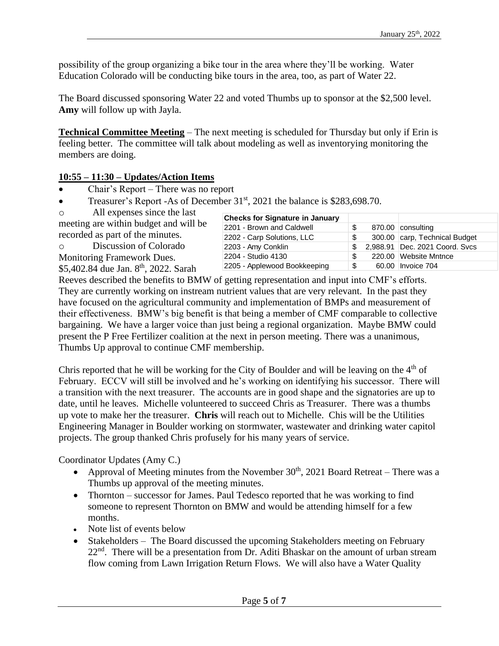possibility of the group organizing a bike tour in the area where they'll be working. Water Education Colorado will be conducting bike tours in the area, too, as part of Water 22.

The Board discussed sponsoring Water 22 and voted Thumbs up to sponsor at the \$2,500 level. **Amy** will follow up with Jayla.

**Technical Committee Meeting** – The next meeting is scheduled for Thursday but only if Erin is feeling better. The committee will talk about modeling as well as inventorying monitoring the members are doing.

## **10:55 – 11:30 – Updates/Action Items**

- Chair's Report There was no report
- Treasurer's Report -As of December 31<sup>st</sup>, 2021 the balance is \$283,698.70.
- $\circ$  All expenses since the last

| $\circ$ and $\circ$ applies since the rase        | <b>Checks for Signature in January</b> |     |                                |
|---------------------------------------------------|----------------------------------------|-----|--------------------------------|
| meeting are within budget and will be             | 2201 - Brown and Caldwell              |     | 870.00 consulting              |
| recorded as part of the minutes.                  | 2202 - Carp Solutions, LLC             |     | 300.00 carp, Technical Budget  |
| Discussion of Colorado<br>$\circ$                 | 2203 - Amy Conklin                     | SS. | 2,988.91 Dec. 2021 Coord. Svcs |
| <b>Monitoring Framework Dues.</b>                 | 2204 - Studio 4130                     | S   | 220.00 Website Mntnce          |
| \$5,402.84 due Jan. 8 <sup>th</sup> , 2022. Sarah | 2205 - Applewood Bookkeeping           | -\$ | 60.00 Invoice 704              |

Reeves described the benefits to BMW of getting representation and input into CMF's efforts. They are currently working on instream nutrient values that are very relevant. In the past they have focused on the agricultural community and implementation of BMPs and measurement of their effectiveness. BMW's big benefit is that being a member of CMF comparable to collective bargaining. We have a larger voice than just being a regional organization. Maybe BMW could present the P Free Fertilizer coalition at the next in person meeting. There was a unanimous, Thumbs Up approval to continue CMF membership.

Chris reported that he will be working for the City of Boulder and will be leaving on the  $4<sup>th</sup>$  of February. ECCV will still be involved and he's working on identifying his successor. There will a transition with the next treasurer. The accounts are in good shape and the signatories are up to date, until he leaves. Michelle volunteered to succeed Chris as Treasurer. There was a thumbs up vote to make her the treasurer. **Chris** will reach out to Michelle. Chis will be the Utilities Engineering Manager in Boulder working on stormwater, wastewater and drinking water capitol projects. The group thanked Chris profusely for his many years of service.

Coordinator Updates (Amy C.)

- Approval of Meeting minutes from the November  $30<sup>th</sup>$ , 2021 Board Retreat There was a Thumbs up approval of the meeting minutes.
- Thornton successor for James. Paul Tedesco reported that he was working to find someone to represent Thornton on BMW and would be attending himself for a few months.
- Note list of events below
- Stakeholders The Board discussed the upcoming Stakeholders meeting on February  $22<sup>nd</sup>$ . There will be a presentation from Dr. Aditi Bhaskar on the amount of urban stream flow coming from Lawn Irrigation Return Flows. We will also have a Water Quality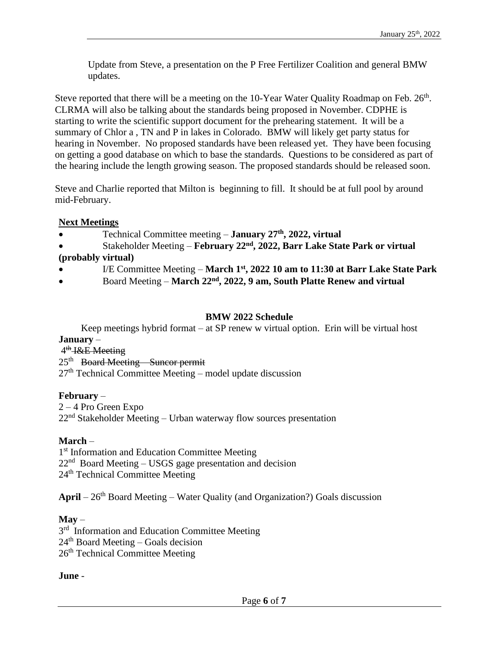Update from Steve, a presentation on the P Free Fertilizer Coalition and general BMW updates.

Steve reported that there will be a meeting on the 10-Year Water Quality Roadmap on Feb. 26<sup>th</sup>. CLRMA will also be talking about the standards being proposed in November. CDPHE is starting to write the scientific support document for the prehearing statement. It will be a summary of Chlor a , TN and P in lakes in Colorado. BMW will likely get party status for hearing in November. No proposed standards have been released yet. They have been focusing on getting a good database on which to base the standards. Questions to be considered as part of the hearing include the length growing season. The proposed standards should be released soon.

Steve and Charlie reported that Milton is beginning to fill. It should be at full pool by around mid-February.

## **Next Meetings**

- Technical Committee meeting **January 27th, 2022, virtual**
- Stakeholder Meeting **February 22nd, 2022, Barr Lake State Park or virtual (probably virtual)**
- I/E Committee Meeting **March 1st, 2022 10 am to 11:30 at Barr Lake State Park**
- Board Meeting **March 22nd, 2022, 9 am, South Platte Renew and virtual**

#### **BMW 2022 Schedule**

Keep meetings hybrid format – at SP renew w virtual option. Erin will be virtual host **January** –

## 4<sup>th</sup> I&E Meeting

25<sup>th</sup> Board Meeting Suncor permit  $27<sup>th</sup>$  Technical Committee Meeting – model update discussion

## **February** –

2 – 4 Pro Green Expo  $22<sup>nd</sup>$  Stakeholder Meeting – Urban waterway flow sources presentation

## **March** –

1<sup>st</sup> Information and Education Committee Meeting 22<sup>nd</sup> Board Meeting – USGS gage presentation and decision 24th Technical Committee Meeting

April – 26<sup>th</sup> Board Meeting – Water Quality (and Organization?) Goals discussion

## **May** –

3<sup>rd</sup> Information and Education Committee Meeting  $24<sup>th</sup>$  Board Meeting – Goals decision 26<sup>th</sup> Technical Committee Meeting

#### **June** -